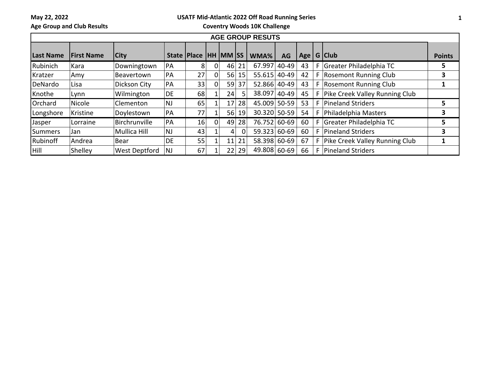**May 22, 2022**

## **USATF Mid-Atlantic 2022 Off Road Running Series**

**Age Group and Club Results**

**Coventry Woods 10K Challenge**

| <b>AGE GROUP RESUTS</b> |                   |                      |           |                 |                |                 |          |              |           |    |   |                                  |               |
|-------------------------|-------------------|----------------------|-----------|-----------------|----------------|-----------------|----------|--------------|-----------|----|---|----------------------------------|---------------|
| <b>Last Name</b>        | <b>First Name</b> | <b>City</b>          |           | State   Place   |                | <b>HH MM SS</b> |          | WMA%         | <b>AG</b> |    |   | Age   G   Club                   | <b>Points</b> |
| Rubinich                | Kara              | Downingtown          | PA        | 81              | 0 <sup>1</sup> | 46              | 21       | 67.997       | 40-49     | 43 |   | F Greater Philadelphia TC        | 5             |
| Kratzer                 | Amy               | Beavertown           | PA        | 27              |                |                 | 56 15    | 55.615 40-49 |           | 42 |   | F Rosemont Running Club          | 3             |
| DeNardo                 | Lisa              | Dickson City         | PA        | 33              |                | 59              | 37       | 52.866 40-49 |           | 43 |   | F Rosemont Running Club          |               |
| Knothe                  | Lynn              | Wilmington           | DE        | 68              |                | 24              | 5.       | 38.097       | $ 40-49 $ | 45 |   | F Pike Creek Valley Running Club |               |
| Orchard                 | Nicole            | Clementon            | <b>NJ</b> | 65              |                | 17 <sup>1</sup> | 28       | 45.009 50-59 |           | 53 |   | F Pineland Striders              |               |
| Longshore               | Kristine          | Doylestown           | 'PA       | 77              |                | 56              | 19       | 30.320 50-59 |           | 54 | F | Philadelphia Masters             | 3             |
| <b>Jasper</b>           | Lorraine          | Birchrunville        | PA        | 16 <sup>1</sup> |                | 49              | 28       | 76.752 60-69 |           | 60 |   | F Greater Philadelphia TC        | 5             |
| Summers                 | Jan               | Mullica Hill         | <b>NJ</b> | 43              |                | $\overline{4}$  | $\Omega$ | 59.323 60-69 |           | 60 |   | F Pineland Striders              | 3             |
| Rubinoff                | Andrea            | Bear                 | DE.       | 55              |                | 11              | 21       | 58.398 60-69 |           | 67 |   | F Pike Creek Valley Running Club |               |
| <b>Hill</b>             | Shelley           | <b>West Deptford</b> | <b>NJ</b> | 67              |                | 22              | 29       | 49.808 60-69 |           | 66 |   | F   Pineland Striders            |               |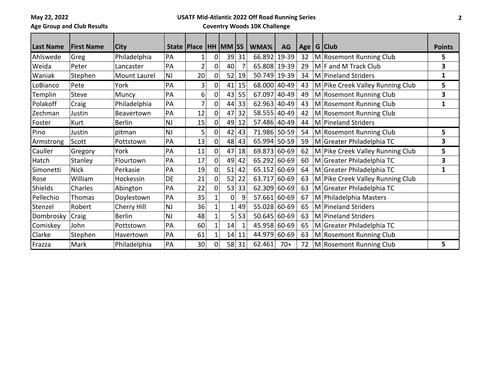**May 22, 2022 Age Group and Club Results**

## **USATF Mid-Atlantic 2022 Off Road Running Series Coventry Woods 10K Challenge**

| <b>Last Name</b> | <b>First Name</b> | <b>City</b>   |           | State   Place  |              | HH MM SS |         | WMA%           | AG    | Age | $G$ Club                         | <b>Points</b> |
|------------------|-------------------|---------------|-----------|----------------|--------------|----------|---------|----------------|-------|-----|----------------------------------|---------------|
| Ahlswede         | Greg              | Philadelphia  | PA        | 1              | 0            | 39       | 31      | 66.892         | 19-39 | 32  | M Rosemont Running Club          | 5             |
| Weida            | Peter             | Lancaster     | PA        | $\overline{2}$ | 0            | 40       | 7       | 65.808 19-39   |       | 29  | $M$ F and M Track Club           | 3             |
| Waniak           | Stephen           | Mount Laurel  | <b>NJ</b> | 20             | 0            | 52       | 19      | 50.749 19-39   |       | 34  | M Pineland Striders              | 1             |
| LoBianco         | Pete              | York          | PA        | 3              | $\mathbf 0$  | 41       | 15      | 68.000         | 40-49 | 43  | M Pike Creek Valley Running Club | 5             |
| Templin          | <b>Steve</b>      | Muncy         | PA        | 6              | 0            | 43       | 55      | 67.097         | 40-49 | 49  | M Rosemont Running Club          | 3             |
| Polakoff         | Craig             | Philadelphia  | PA        | 7              | $\mathbf 0$  | 44       | 33      | $62.963$ 40-49 |       | 43  | M Rosemont Running Club          | 1             |
| Zechman          | Justin            | Beavertown    | PA        | 12             | $\mathbf 0$  | 47       | 32      | 58.555 40-49   |       | 42  | M Rosemont Running Club          |               |
| Foster           | Kurt              | <b>Berlin</b> | <b>NJ</b> | 15             | 0            | 49       | 12      | 57.486 40-49   |       | 44  | M Pineland Striders              |               |
| Pino             | Justin            | pitman        | <b>NJ</b> | 5              | $\mathbf 0$  | 42       | 43      | 71.986 50-59   |       | 54  | M Rosemont Running Club          | 5             |
| Armstrong        | Scott             | Pottstown     | PA        | 13             | $\mathbf 0$  |          | $48$ 43 | 65.994 50-59   |       | 59  | M Greater Philadelphia TC        | 3             |
| Cauller          | Gregory           | York          | PA        | 11             | 0            | 47       | 18      | 69.873 60-69   |       | 62  | M Pike Creek Valley Running Club | 5             |
| Hatch            | Stanley           | Flourtown     | PA        | 17             | $\mathbf 0$  | 49       | 42      | 65.292 60-69   |       | 60  | M Greater Philadelphia TC        | 3             |
| Simonetti        | <b>Nick</b>       | Perkasie      | PA        | 19             | $\Omega$     | 51       | 42      | 65.152 60-69   |       | 64  | M Greater Philadelphia TC        | 1             |
| Rose             | William           | Hockessin     | DE        | 21             | $\mathbf 0$  | 52       | 22      | 63.717         | 60-69 | 63  | M Pike Creek Valley Running Club |               |
| <b>Shields</b>   | Charles           | Abington      | PA        | 22             | 0            | 53       | 33      | $62.309$ 60-69 |       | 63  | M Greater Philadelphia TC        |               |
| Pellechio        | Thomas            | Doylestown    | PA        | 35             |              | οl       | 9       | 57.661 60-69   |       | 67  | M Philadelphia Masters           |               |
| Stenzel          | Robert            | Cherry Hill   | <b>NJ</b> | 36             |              |          | 49      | 55.028 60-69   |       | 65  | M Pineland Striders              |               |
| Dombrosky        | Craig             | <b>Berlin</b> | <b>NJ</b> | 48             |              | 51       | 53      | 50.645 60-69   |       | 63  | M Pineland Striders              |               |
| Comiskey         | John              | Pottstown     | PA        | 60             |              | 14       | 1       | 45.958 60-69   |       | 65  | M Greater Philadelphia TC        |               |
| Clarke           | Stephen           | Havertown     | PA        | 61             | $\mathbf{1}$ | 14       | 11      | 44.979 60-69   |       | 63  | M Rosemont Running Club          |               |
| Frazza           | Mark              | Philadelphia  | PA        | 30             | 0            |          | 58 31   | 62.461         | $70+$ | 72  | M Rosemont Running Club          | 5             |